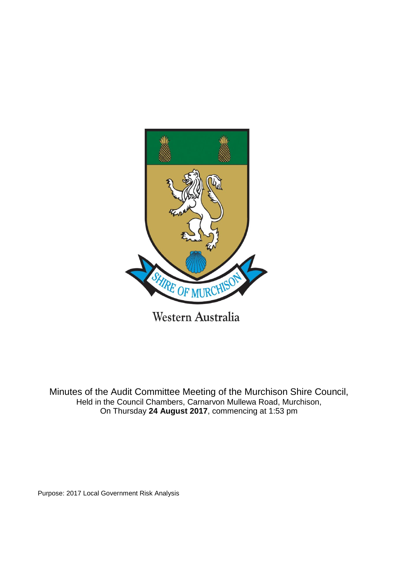

Minutes of the Audit Committee Meeting of the Murchison Shire Council, Held in the Council Chambers, Carnarvon Mullewa Road, Murchison, On Thursday **24 August 2017**, commencing at 1:53 pm

Purpose: 2017 Local Government Risk Analysis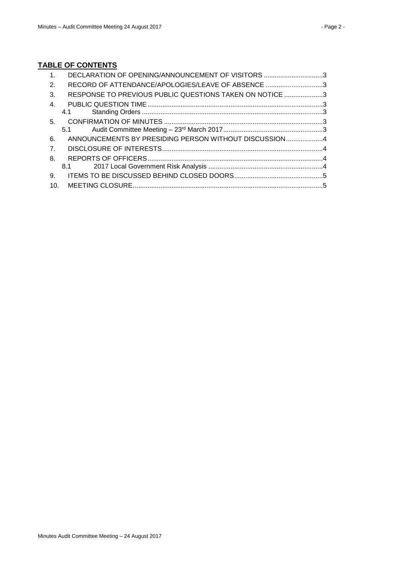# **TABLE OF CONTENTS**

| $\mathbf{1}$ . | DECLARATION OF OPENING/ANNOUNCEMENT OF VISITORS 3       |  |
|----------------|---------------------------------------------------------|--|
| 2.             | RECORD OF ATTENDANCE/APOLOGIES/LEAVE OF ABSENCE 3       |  |
| 3.             | RESPONSE TO PREVIOUS PUBLIC QUESTIONS TAKEN ON NOTICE 3 |  |
| $\mathbf{4}$   |                                                         |  |
|                |                                                         |  |
|                |                                                         |  |
|                |                                                         |  |
| 6.             | ANNOUNCEMENTS BY PRESIDING PERSON WITHOUT DISCUSSION4   |  |
| 7 <sub>1</sub> |                                                         |  |
| 8.             |                                                         |  |
|                |                                                         |  |
| 9.             |                                                         |  |
|                |                                                         |  |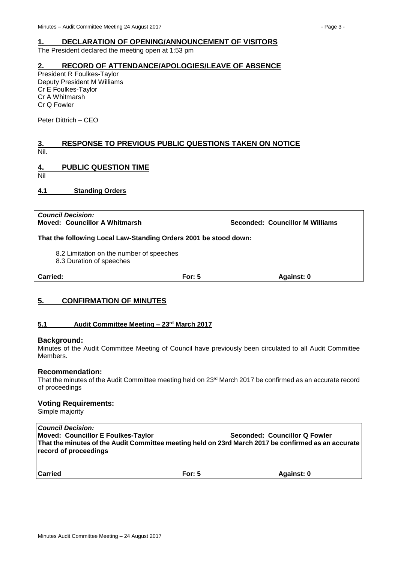# <span id="page-2-0"></span>**1. DECLARATION OF OPENING/ANNOUNCEMENT OF VISITORS**

The President declared the meeting open at 1:53 pm

#### <span id="page-2-1"></span>**2. RECORD OF ATTENDANCE/APOLOGIES/LEAVE OF ABSENCE**

President R Foulkes-Taylor Deputy President M Williams Cr E Foulkes-Taylor Cr A Whitmarsh Cr Q Fowler

Peter Dittrich – CEO

# <span id="page-2-2"></span>**3. RESPONSE TO PREVIOUS PUBLIC QUESTIONS TAKEN ON NOTICE** Nil.

# <span id="page-2-3"></span>**4. PUBLIC QUESTION TIME**

Nil

<span id="page-2-4"></span>**4.1 Standing Orders**

*Council Decision:*

**Moved: Councillor A Whitmarsh Seconded: Councillor M Williams**

**That the following Local Law-Standing Orders 2001 be stood down:**

8.2 Limitation on the number of speeches

8.3 Duration of speeches

| Carried: | For: $5$ | Against: 0 |
|----------|----------|------------|
|          |          |            |

# <span id="page-2-5"></span>**5. CONFIRMATION OF MINUTES**

#### <span id="page-2-6"></span>**5.1 Audit Committee Meeting – 23rd March 2017**

#### **Background:**

Minutes of the Audit Committee Meeting of Council have previously been circulated to all Audit Committee Members.

#### **Recommendation:**

That the minutes of the Audit Committee meeting held on 23<sup>rd</sup> March 2017 be confirmed as an accurate record of proceedings

#### **Voting Requirements:**

Simple majority

*Council Decision:* **Moved: Councillor E Foulkes-Taylor Seconded: Councillor Q Fowler That the minutes of the Audit Committee meeting held on 23rd March 2017 be confirmed as an accurate record of proceedings**

**Carried For: 5 Against: 0**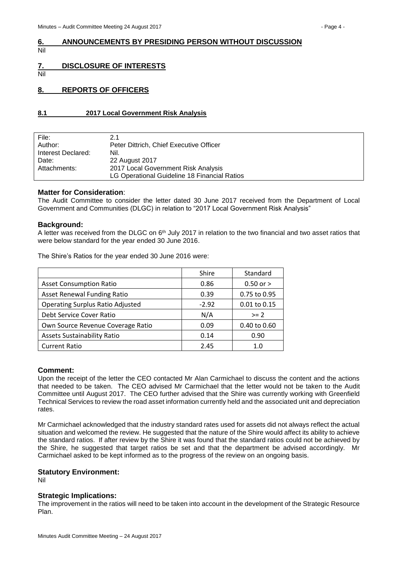#### <span id="page-3-0"></span>**6. ANNOUNCEMENTS BY PRESIDING PERSON WITHOUT DISCUSSION** Nil

# <span id="page-3-1"></span>**7. DISCLOSURE OF INTERESTS**

Nil

# <span id="page-3-2"></span>**8. REPORTS OF OFFICERS**

#### <span id="page-3-3"></span>**8.1 2017 Local Government Risk Analysis**

| File:              | 2.1                                          |
|--------------------|----------------------------------------------|
| Author:            | Peter Dittrich, Chief Executive Officer      |
| Interest Declared: | Nil.                                         |
| Date:              | 22 August 2017                               |
| Attachments:       | 2017 Local Government Risk Analysis          |
|                    | LG Operational Guideline 18 Financial Ratios |
|                    |                                              |

#### **Matter for Consideration**:

The Audit Committee to consider the letter dated 30 June 2017 received from the Department of Local Government and Communities (DLGC) in relation to "2017 Local Government Risk Analysis"

#### **Background:**

A letter was received from the DLGC on 6th July 2017 in relation to the two financial and two asset ratios that were below standard for the year ended 30 June 2016.

The Shire's Ratios for the year ended 30 June 2016 were:

|                                         | Shire   | Standard      |
|-----------------------------------------|---------|---------------|
| <b>Asset Consumption Ratio</b>          | 0.86    | $0.50$ or $>$ |
| <b>Asset Renewal Funding Ratio</b>      | 0.39    | 0.75 to 0.95  |
| <b>Operating Surplus Ratio Adjusted</b> | $-2.92$ | 0.01 to 0.15  |
| Debt Service Cover Ratio                | N/A     | $>= 2$        |
| Own Source Revenue Coverage Ratio       | 0.09    | 0.40 to 0.60  |
| <b>Assets Sustainability Ratio</b>      | 0.14    | 0.90          |
| <b>Current Ratio</b>                    | 2.45    | 1.0           |

#### **Comment:**

Upon the receipt of the letter the CEO contacted Mr Alan Carmichael to discuss the content and the actions that needed to be taken. The CEO advised Mr Carmichael that the letter would not be taken to the Audit Committee until August 2017. The CEO further advised that the Shire was currently working with Greenfield Technical Services to review the road asset information currently held and the associated unit and depreciation rates.

Mr Carmichael acknowledged that the industry standard rates used for assets did not always reflect the actual situation and welcomed the review. He suggested that the nature of the Shire would affect its ability to achieve the standard ratios. If after review by the Shire it was found that the standard ratios could not be achieved by the Shire, he suggested that target ratios be set and that the department be advised accordingly. Mr Carmichael asked to be kept informed as to the progress of the review on an ongoing basis.

#### **Statutory Environment:**

Nil

#### **Strategic Implications:**

The improvement in the ratios will need to be taken into account in the development of the Strategic Resource Plan.